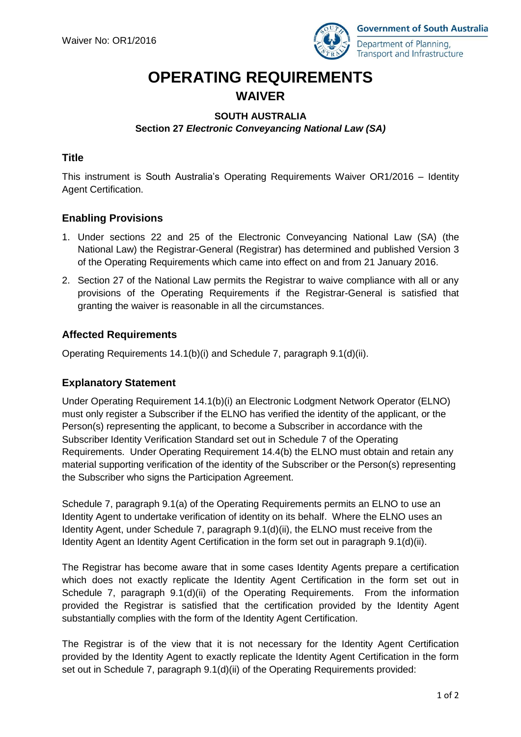

# **OPERATING REQUIREMENTS WAIVER**

## **SOUTH AUSTRALIA Section 27** *Electronic Conveyancing National Law (SA)*

## **Title**

This instrument is South Australia's Operating Requirements Waiver OR1/2016 – Identity Agent Certification.

# **Enabling Provisions**

- 1. Under sections 22 and 25 of the Electronic Conveyancing National Law (SA) (the National Law) the Registrar-General (Registrar) has determined and published Version 3 of the Operating Requirements which came into effect on and from 21 January 2016.
- 2. Section 27 of the National Law permits the Registrar to waive compliance with all or any provisions of the Operating Requirements if the Registrar-General is satisfied that granting the waiver is reasonable in all the circumstances.

# **Affected Requirements**

Operating Requirements 14.1(b)(i) and Schedule 7, paragraph 9.1(d)(ii).

#### **Explanatory Statement**

Under Operating Requirement 14.1(b)(i) an Electronic Lodgment Network Operator (ELNO) must only register a Subscriber if the ELNO has verified the identity of the applicant, or the Person(s) representing the applicant, to become a Subscriber in accordance with the Subscriber Identity Verification Standard set out in Schedule 7 of the Operating Requirements. Under Operating Requirement 14.4(b) the ELNO must obtain and retain any material supporting verification of the identity of the Subscriber or the Person(s) representing the Subscriber who signs the Participation Agreement.

Schedule 7, paragraph 9.1(a) of the Operating Requirements permits an ELNO to use an Identity Agent to undertake verification of identity on its behalf. Where the ELNO uses an Identity Agent, under Schedule 7, paragraph 9.1(d)(ii), the ELNO must receive from the Identity Agent an Identity Agent Certification in the form set out in paragraph 9.1(d)(ii).

The Registrar has become aware that in some cases Identity Agents prepare a certification which does not exactly replicate the Identity Agent Certification in the form set out in Schedule 7, paragraph 9.1(d)(ii) of the Operating Requirements. From the information provided the Registrar is satisfied that the certification provided by the Identity Agent substantially complies with the form of the Identity Agent Certification.

The Registrar is of the view that it is not necessary for the Identity Agent Certification provided by the Identity Agent to exactly replicate the Identity Agent Certification in the form set out in Schedule 7, paragraph 9.1(d)(ii) of the Operating Requirements provided: